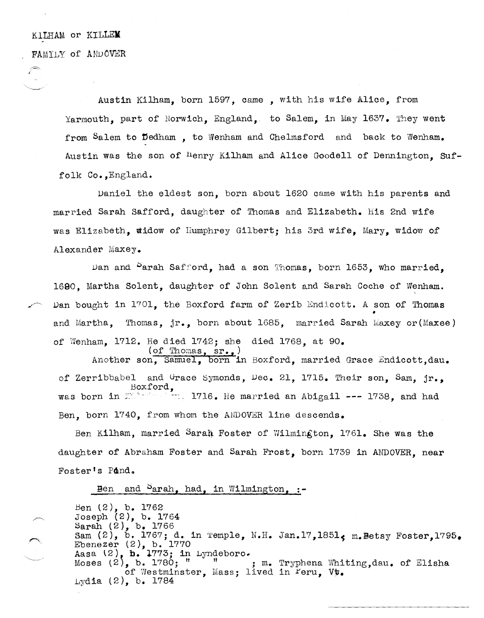## KILHAM OP KILLEM FAMILY of ANDOVER

Austin Kilham, born 1597, came, with his wife Alice, from Yarmouth, part of Norwich, England, to Salem, in May 1637. They went from Salem to Dedham. to Wenham and Chelmsford and back to Wenham. Austin was the son of <sup>H</sup>enry Kilham and Alice Goodell of Dennington. Suffolk Co., England.

Daniel the eldest son, born about 1620 came with his parents and married Sarah Safford, daughter of Thomas and Elizabeth. His 2nd wife was Elizabeth, widow of Humphrey Gilbert; his 3rd wife, Mary, widow of Alexander Maxey.

Dan and Parah Safford, had a son Thomas, born 1653, who married. 1690. Martha Solent, daughter of John Solent and Sarah Coche of Wenham. Dan bought in 1701, the Boxford farm of Zerib Endicott. A son of Thomas and Martha, Thomas, jr., born about 1685, married Sarah Maxey or (Maxee) of Wenham, 1712. He died 1742; she died 1768, at 90.

 $(\text{of Thomas}, sr.$ Another son, Samuel, born in Boxford, married Grace Endicott.dau. of Zerribbabel and Grace Symonds, Dec. 21, 1715. Their son, Sam, jr., Boxford,<br>was born in Marson 1716. He married an Abigail --- 1738, and had Ben. born 1740, from whom the ANDOVER line descends.

Ben Kilham, married Sarah Foster of Wilmington, 1761. She was the daughter of Abraham Foster and Sarah Frost, born 1739 in ANDOVER. near Foster's Pond.

## Ben and  $S<sub>arah</sub>$  had, in Wilmington, :-

Ben (2), b. 1762 Joseph (2), b. 1764<br>Sarah (2), b. 1766 Sam (2), b. 1767; d. in Temple, N.H. Jan. 17, 1851, m. Betsy Foster, 1795. Ebenezer  $(2)$ , b. 1770 Aasa (2), b. 1773; in Lyndeboro. Moses  $(2)$ , b. 1780; " m. Tryphena Whiting, dau. of Elisha of Westminster, Mass; lived in Feru, Vt. Lydia  $(2)$ , b. 1784